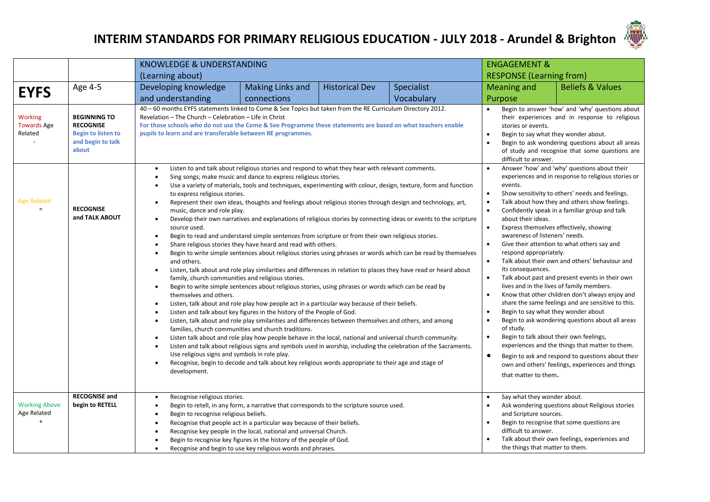

|                                                 |                                                                                                    | KNOWLEDGE & UNDERSTANDING                                                                                                                                                                                                                                                                                                                                                                                 |                                                                                                                                                                                                                                                                                                                                                                                                                                                                                                                                                                                                                                                                                                                                                                                                                                                                                                                                                                                                                                                                                                                                                                                                                                                                                                                                                                                                                                                                                                                                                                                                                               |                                                                                                                                                                                                                                                                                                    | <b>ENGAGEMENT &amp;</b>                                                                                                                                                                                                                                                                                                                                                                                                                                                                                                                                                                                                                                                                                                                                                                                                                                          |                                                                                                                                                                                                                                                                                                                                                                                      |                             |  |  |  |
|-------------------------------------------------|----------------------------------------------------------------------------------------------------|-----------------------------------------------------------------------------------------------------------------------------------------------------------------------------------------------------------------------------------------------------------------------------------------------------------------------------------------------------------------------------------------------------------|-------------------------------------------------------------------------------------------------------------------------------------------------------------------------------------------------------------------------------------------------------------------------------------------------------------------------------------------------------------------------------------------------------------------------------------------------------------------------------------------------------------------------------------------------------------------------------------------------------------------------------------------------------------------------------------------------------------------------------------------------------------------------------------------------------------------------------------------------------------------------------------------------------------------------------------------------------------------------------------------------------------------------------------------------------------------------------------------------------------------------------------------------------------------------------------------------------------------------------------------------------------------------------------------------------------------------------------------------------------------------------------------------------------------------------------------------------------------------------------------------------------------------------------------------------------------------------------------------------------------------------|----------------------------------------------------------------------------------------------------------------------------------------------------------------------------------------------------------------------------------------------------------------------------------------------------|------------------------------------------------------------------------------------------------------------------------------------------------------------------------------------------------------------------------------------------------------------------------------------------------------------------------------------------------------------------------------------------------------------------------------------------------------------------------------------------------------------------------------------------------------------------------------------------------------------------------------------------------------------------------------------------------------------------------------------------------------------------------------------------------------------------------------------------------------------------|--------------------------------------------------------------------------------------------------------------------------------------------------------------------------------------------------------------------------------------------------------------------------------------------------------------------------------------------------------------------------------------|-----------------------------|--|--|--|
|                                                 |                                                                                                    | (Learning about)                                                                                                                                                                                                                                                                                                                                                                                          |                                                                                                                                                                                                                                                                                                                                                                                                                                                                                                                                                                                                                                                                                                                                                                                                                                                                                                                                                                                                                                                                                                                                                                                                                                                                                                                                                                                                                                                                                                                                                                                                                               |                                                                                                                                                                                                                                                                                                    |                                                                                                                                                                                                                                                                                                                                                                                                                                                                                                                                                                                                                                                                                                                                                                                                                                                                  | <b>RESPONSE (Learning from)</b>                                                                                                                                                                                                                                                                                                                                                      |                             |  |  |  |
| <b>EYFS</b>                                     | Age 4-5                                                                                            | Developing knowledge                                                                                                                                                                                                                                                                                                                                                                                      | <b>Making Links and</b>                                                                                                                                                                                                                                                                                                                                                                                                                                                                                                                                                                                                                                                                                                                                                                                                                                                                                                                                                                                                                                                                                                                                                                                                                                                                                                                                                                                                                                                                                                                                                                                                       | <b>Historical Dev</b>                                                                                                                                                                                                                                                                              | Specialist                                                                                                                                                                                                                                                                                                                                                                                                                                                                                                                                                                                                                                                                                                                                                                                                                                                       | Meaning and                                                                                                                                                                                                                                                                                                                                                                          | <b>Beliefs &amp; Values</b> |  |  |  |
|                                                 |                                                                                                    | and understanding                                                                                                                                                                                                                                                                                                                                                                                         | connections                                                                                                                                                                                                                                                                                                                                                                                                                                                                                                                                                                                                                                                                                                                                                                                                                                                                                                                                                                                                                                                                                                                                                                                                                                                                                                                                                                                                                                                                                                                                                                                                                   |                                                                                                                                                                                                                                                                                                    | Vocabulary                                                                                                                                                                                                                                                                                                                                                                                                                                                                                                                                                                                                                                                                                                                                                                                                                                                       | Purpose                                                                                                                                                                                                                                                                                                                                                                              |                             |  |  |  |
| <b>Working</b><br><b>Towards Age</b><br>Related | <b>BEGINNING TO</b><br><b>RECOGNISE</b><br><b>Begin to listen to</b><br>and begin to talk<br>about | 40 - 60 months EYFS statements linked to Come & See Topics but taken from the RE Curriculum Directory 2012.<br>Revelation - The Church - Celebration - Life in Christ<br>For those schools who do not use the Come & See Programme these statements are based on what teachers enable<br>pupils to learn and are transferable between RE programmes.<br>٠                                                 | Listen to and talk about religious stories and respond to what they hear with relevant comments.                                                                                                                                                                                                                                                                                                                                                                                                                                                                                                                                                                                                                                                                                                                                                                                                                                                                                                                                                                                                                                                                                                                                                                                                                                                                                                                                                                                                                                                                                                                              |                                                                                                                                                                                                                                                                                                    |                                                                                                                                                                                                                                                                                                                                                                                                                                                                                                                                                                                                                                                                                                                                                                                                                                                                  | Begin to answer 'how' and 'why' questions about<br>their experiences and in response to religious<br>stories or events.<br>Begin to say what they wonder about.<br>$\bullet$<br>Begin to ask wondering questions about all areas<br>$\bullet$<br>of study and recognise that some questions are<br>difficult to answer.<br>Answer 'how' and 'why' questions about their<br>$\bullet$ |                             |  |  |  |
| <b>Age Related</b><br>$=$                       | <b>RECOGNISE</b><br>and TALK ABOUT                                                                 | $\bullet$<br>to express religious stories.<br>$\bullet$<br>music, dance and role play.<br>$\bullet$<br>source used.<br>$\bullet$<br>$\bullet$<br>٠<br>and others.<br>$\bullet$<br>family, church communities and religious stories.<br>$\bullet$<br>themselves and others.<br>$\bullet$<br>$\bullet$<br>٠<br>$\bullet$<br>$\bullet$<br>Use religious signs and symbols in role play.<br>٠<br>development. | Sing songs; make music and dance to express religious stories.<br>Use a variety of materials, tools and techniques, experimenting with colour, design, texture, form and function<br>Represent their own ideas, thoughts and feelings about religious stories through design and technology, art,<br>Develop their own narratives and explanations of religious stories by connecting ideas or events to the scripture<br>Begin to read and understand simple sentences from scripture or from their own religious stories.<br>Share religious stories they have heard and read with others.<br>Begin to write simple sentences about religious stories using phrases or words which can be read by themselves<br>Listen, talk about and role play similarities and differences in relation to places they have read or heard about<br>Begin to write simple sentences about religious stories, using phrases or words which can be read by<br>Listen, talk about and role play how people act in a particular way because of their beliefs.<br>Listen and talk about key figures in the history of the People of God.<br>Listen, talk about and role play similarities and differences between themselves and others, and among<br>families, church communities and church traditions.<br>Listen talk about and role play how people behave in the local, national and universal church community.<br>Listen and talk about religious signs and symbols used in worship, including the celebration of the Sacraments.<br>Recognise, begin to decode and talk about key religious words appropriate to their age and stage of | events.<br>$\bullet$<br>$\bullet$<br>$\bullet$<br>about their ideas.<br>$\bullet$<br>awareness of listeners' needs.<br>$\bullet$<br>respond appropriately.<br>$\bullet$<br>its consequences.<br>$\bullet$<br>$\bullet$<br>$\bullet$<br>of study.<br>$\bullet$<br>$\bullet$<br>that matter to them. | experiences and in response to religious stories or<br>Show sensitivity to others' needs and feelings.<br>Talk about how they and others show feelings.<br>Confidently speak in a familiar group and talk<br>Express themselves effectively, showing<br>Give their attention to what others say and<br>Talk about their own and others' behaviour and<br>Talk about past and present events in their own<br>lives and in the lives of family members.<br>Know that other children don't always enjoy and<br>share the same feelings and are sensitive to this.<br>Begin to say what they wonder about<br>Begin to ask wondering questions about all areas<br>Begin to talk about their own feelings,<br>experiences and the things that matter to them.<br>Begin to ask and respond to questions about their<br>own and others' feelings, experiences and things |                                                                                                                                                                                                                                                                                                                                                                                      |                             |  |  |  |
| <b>Working Above</b><br>Age Related<br>$+$      | <b>RECOGNISE and</b><br>begin to RETELL                                                            | Recognise religious stories.<br>٠<br>٠<br>Begin to recognise religious beliefs.<br>$\bullet$<br>$\bullet$<br>٠<br>٠                                                                                                                                                                                                                                                                                       | Begin to retell, in any form, a narrative that corresponds to the scripture source used.<br>Recognise that people act in a particular way because of their beliefs.<br>Recognise key people in the local, national and universal Church.<br>Begin to recognise key figures in the history of the people of God.<br>Recognise and begin to use key religious words and phrases.                                                                                                                                                                                                                                                                                                                                                                                                                                                                                                                                                                                                                                                                                                                                                                                                                                                                                                                                                                                                                                                                                                                                                                                                                                                | Say what they wonder about.<br>$\bullet$<br>and Scripture sources.<br>$\bullet$<br>difficult to answer.<br>the things that matter to them.                                                                                                                                                         | Ask wondering questions about Religious stories<br>Begin to recognise that some questions are<br>Talk about their own feelings, experiences and                                                                                                                                                                                                                                                                                                                                                                                                                                                                                                                                                                                                                                                                                                                  |                                                                                                                                                                                                                                                                                                                                                                                      |                             |  |  |  |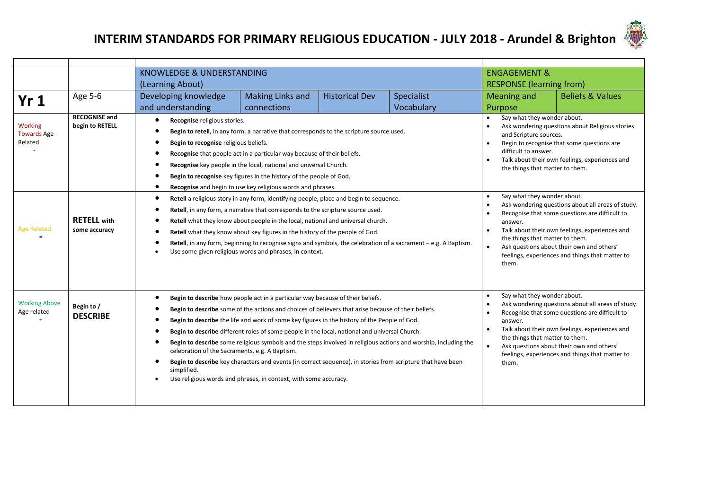

|                                          |                                         | <b>KNOWLEDGE &amp; UNDERSTANDING</b>                                                    |                                                                                                                                                                                                                                                                                                                                                                                                                                                                                                                                                                                                                                                                                              |                                                                                                                                                                                                                                                                                                                                                                       | <b>ENGAGEMENT &amp;</b>                                                                                                                                                                                                                                                                                                                                                            |                                 |                             |  |  |
|------------------------------------------|-----------------------------------------|-----------------------------------------------------------------------------------------|----------------------------------------------------------------------------------------------------------------------------------------------------------------------------------------------------------------------------------------------------------------------------------------------------------------------------------------------------------------------------------------------------------------------------------------------------------------------------------------------------------------------------------------------------------------------------------------------------------------------------------------------------------------------------------------------|-----------------------------------------------------------------------------------------------------------------------------------------------------------------------------------------------------------------------------------------------------------------------------------------------------------------------------------------------------------------------|------------------------------------------------------------------------------------------------------------------------------------------------------------------------------------------------------------------------------------------------------------------------------------------------------------------------------------------------------------------------------------|---------------------------------|-----------------------------|--|--|
|                                          |                                         | (Learning About)                                                                        |                                                                                                                                                                                                                                                                                                                                                                                                                                                                                                                                                                                                                                                                                              |                                                                                                                                                                                                                                                                                                                                                                       |                                                                                                                                                                                                                                                                                                                                                                                    | <b>RESPONSE (learning from)</b> |                             |  |  |
| Yr1                                      | Age 5-6                                 | Developing knowledge                                                                    | Making Links and                                                                                                                                                                                                                                                                                                                                                                                                                                                                                                                                                                                                                                                                             | <b>Historical Dev</b>                                                                                                                                                                                                                                                                                                                                                 | Specialist                                                                                                                                                                                                                                                                                                                                                                         | Meaning and                     | <b>Beliefs &amp; Values</b> |  |  |
|                                          |                                         | and understanding                                                                       | connections                                                                                                                                                                                                                                                                                                                                                                                                                                                                                                                                                                                                                                                                                  |                                                                                                                                                                                                                                                                                                                                                                       | Vocabulary                                                                                                                                                                                                                                                                                                                                                                         | Purpose                         |                             |  |  |
| Working<br><b>Towards Age</b><br>Related | <b>RECOGNISE and</b><br>begin to RETELL | Recognise religious stories.<br>Begin to recognise religious beliefs.<br>$\bullet$<br>٠ | Begin to retell, in any form, a narrative that corresponds to the scripture source used.<br>Recognise that people act in a particular way because of their beliefs.<br>Recognise key people in the local, national and universal Church.<br>Begin to recognise key figures in the history of the people of God.<br>Recognise and begin to use key religious words and phrases.                                                                                                                                                                                                                                                                                                               |                                                                                                                                                                                                                                                                                                                                                                       | Say what they wonder about.<br>$\bullet$<br>Ask wondering questions about Religious stories<br>and Scripture sources.<br>Begin to recognise that some questions are<br>difficult to answer.<br>Talk about their own feelings, experiences and<br>the things that matter to them.                                                                                                   |                                 |                             |  |  |
| <b>Age Related</b><br>$\equiv$           | <b>RETELL</b> with<br>some accuracy     | $\bullet$                                                                               | Retell a religious story in any form, identifying people, place and begin to sequence.<br>Retell, in any form, a narrative that corresponds to the scripture source used.<br>Retell what they know about people in the local, national and universal church.<br>Retell what they know about key figures in the history of the people of God.<br>Use some given religious words and phrases, in context.                                                                                                                                                                                                                                                                                      | Retell, in any form, beginning to recognise signs and symbols, the celebration of a sacrament – e.g. A Baptism.                                                                                                                                                                                                                                                       | Say what they wonder about.<br>$\bullet$<br>Ask wondering questions about all areas of study.<br>Recognise that some questions are difficult to<br>answer.<br>Talk about their own feelings, experiences and<br>$\bullet$<br>the things that matter to them.<br>Ask questions about their own and others'<br>$\bullet$<br>feelings, experiences and things that matter to<br>them. |                                 |                             |  |  |
| <b>Working Above</b><br>Age related      | Begin to /<br><b>DESCRIBE</b>           | celebration of the Sacraments. e.g. A Baptism.<br>simplified.                           | Begin to describe how people act in a particular way because of their beliefs.<br>Begin to describe some of the actions and choices of believers that arise because of their beliefs.<br>Begin to describe the life and work of some key figures in the history of the People of God.<br>Begin to describe different roles of some people in the local, national and universal Church.<br>Begin to describe some religious symbols and the steps involved in religious actions and worship, including the<br>Begin to describe key characters and events (in correct sequence), in stories from scripture that have been<br>Use religious words and phrases, in context, with some accuracy. | Say what they wonder about.<br>Ask wondering questions about all areas of study.<br>Recognise that some questions are difficult to<br>answer.<br>Talk about their own feelings, experiences and<br>$\bullet$<br>the things that matter to them.<br>$\bullet$<br>Ask questions about their own and others'<br>feelings, experiences and things that matter to<br>them. |                                                                                                                                                                                                                                                                                                                                                                                    |                                 |                             |  |  |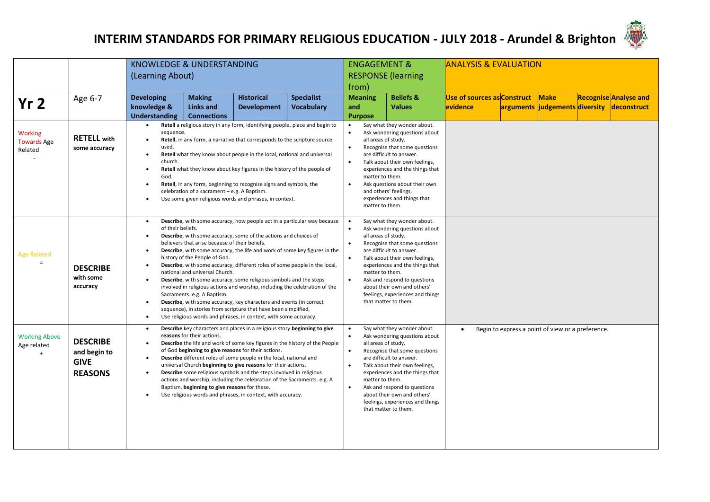

|                                                  |                                                                  | <b>KNOWLEDGE &amp; UNDERSTANDING</b>                                                                         |                                                                                                                                                  |                                                                                                                                                                                                                                                                                                                                                                                                                                                                                                                   |                                                                                                                                                        | <b>ENGAGEMENT &amp;</b>                                                                                                                                                                                                                                                                                                   |                                                                                                                                                                                                                                                                                                                                                                     | <b>ANALYSIS &amp; EVALUATION</b>   |                                                   |             |  |                                            |
|--------------------------------------------------|------------------------------------------------------------------|--------------------------------------------------------------------------------------------------------------|--------------------------------------------------------------------------------------------------------------------------------------------------|-------------------------------------------------------------------------------------------------------------------------------------------------------------------------------------------------------------------------------------------------------------------------------------------------------------------------------------------------------------------------------------------------------------------------------------------------------------------------------------------------------------------|--------------------------------------------------------------------------------------------------------------------------------------------------------|---------------------------------------------------------------------------------------------------------------------------------------------------------------------------------------------------------------------------------------------------------------------------------------------------------------------------|---------------------------------------------------------------------------------------------------------------------------------------------------------------------------------------------------------------------------------------------------------------------------------------------------------------------------------------------------------------------|------------------------------------|---------------------------------------------------|-------------|--|--------------------------------------------|
|                                                  |                                                                  | (Learning About)                                                                                             |                                                                                                                                                  |                                                                                                                                                                                                                                                                                                                                                                                                                                                                                                                   |                                                                                                                                                        |                                                                                                                                                                                                                                                                                                                           | <b>RESPONSE (learning</b>                                                                                                                                                                                                                                                                                                                                           |                                    |                                                   |             |  |                                            |
|                                                  |                                                                  |                                                                                                              |                                                                                                                                                  |                                                                                                                                                                                                                                                                                                                                                                                                                                                                                                                   |                                                                                                                                                        | from)                                                                                                                                                                                                                                                                                                                     |                                                                                                                                                                                                                                                                                                                                                                     |                                    |                                                   |             |  |                                            |
| Yr <sub>2</sub>                                  | Age 6-7                                                          | <b>Developing</b>                                                                                            | <b>Making</b>                                                                                                                                    | <b>Historical</b>                                                                                                                                                                                                                                                                                                                                                                                                                                                                                                 | <b>Specialist</b>                                                                                                                                      | <b>Meaning</b>                                                                                                                                                                                                                                                                                                            | <b>Beliefs &amp;</b>                                                                                                                                                                                                                                                                                                                                                | <b>Use of sources as Construct</b> |                                                   | <b>Make</b> |  | <b>Recognise Analyse and</b>               |
|                                                  |                                                                  | knowledge &                                                                                                  | Links and                                                                                                                                        | <b>Development</b>                                                                                                                                                                                                                                                                                                                                                                                                                                                                                                | <b>Vocabulary</b>                                                                                                                                      | and                                                                                                                                                                                                                                                                                                                       | <b>Values</b>                                                                                                                                                                                                                                                                                                                                                       | <b>levidence</b>                   |                                                   |             |  | arguments judgements diversity deconstruct |
|                                                  |                                                                  | <b>Understanding</b>                                                                                         | <b>Connections</b>                                                                                                                               | Retell a religious story in any form, identifying people, place and begin to                                                                                                                                                                                                                                                                                                                                                                                                                                      |                                                                                                                                                        | <b>Purpose</b>                                                                                                                                                                                                                                                                                                            | Say what they wonder about.                                                                                                                                                                                                                                                                                                                                         |                                    |                                                   |             |  |                                            |
| <b>Working</b><br><b>Towards Age</b><br>Related  | <b>RETELL</b> with<br>some accuracy                              | sequence.<br>$\bullet$<br>used.<br>$\bullet$<br>church.<br>$\bullet$<br>God.<br>$\bullet$<br>$\bullet$       | celebration of a sacrament - e.g. A Baptism.                                                                                                     | Retell, in any form, a narrative that corresponds to the scripture source<br>Retell what they know about people in the local, national and universal<br>Retell what they know about key figures in the history of the people of<br>Retell, in any form, beginning to recognise signs and symbols, the<br>Use some given religious words and phrases, in context.                                                                                                                                                  |                                                                                                                                                        | $\bullet$<br>all areas of study.<br>٠<br>matter to them.<br>matter to them.                                                                                                                                                                                                                                               | Ask wondering questions about<br>Recognise that some questions<br>are difficult to answer.<br>Talk about their own feelings,<br>experiences and the things that<br>Ask questions about their own<br>and others' feelings,<br>experiences and things that                                                                                                            |                                    |                                                   |             |  |                                            |
| <b>Age Related</b><br>$=$                        | <b>DESCRIBE</b><br>with some<br>accuracy                         | $\bullet$<br>of their beliefs.<br>$\bullet$<br>$\bullet$<br>$\bullet$<br>$\bullet$<br>$\bullet$<br>$\bullet$ | believers that arise because of their beliefs.<br>history of the People of God.<br>national and universal Church.<br>Sacraments. e.g. A Baptism. | Describe, with some accuracy, some of the actions and choices of<br>Describe, with some accuracy, different roles of some people in the local,<br>Describe, with some accuracy, some religious symbols and the steps<br>involved in religious actions and worship, including the celebration of the<br>Describe, with some accuracy, key characters and events (in correct<br>sequence), in stories from scripture that have been simplified.<br>Use religious words and phrases, in context, with some accuracy. | Describe, with some accuracy, how people act in a particular way because<br>Describe, with some accuracy, the life and work of some key figures in the | $\bullet$<br>$\bullet$<br>$\bullet$                                                                                                                                                                                                                                                                                       | Say what they wonder about.<br>Ask wondering questions about<br>all areas of study.<br>Recognise that some questions<br>are difficult to answer.<br>Talk about their own feelings,<br>experiences and the things that<br>matter to them.<br>Ask and respond to questions<br>about their own and others'<br>feelings, experiences and things<br>that matter to them. |                                    |                                                   |             |  |                                            |
| <b>Working Above</b><br>Age related<br>$\ddot{}$ | <b>DESCRIBE</b><br>and begin to<br><b>GIVE</b><br><b>REASONS</b> | $\bullet$<br>$\bullet$<br>$\bullet$<br>$\bullet$<br>$\bullet$                                                | reasons for their actions.<br>of God beginning to give reasons for their actions.<br>Baptism, beginning to give reasons for these.               | Describe key characters and places in a religious story beginning to give<br>Describe the life and work of some key figures in the history of the People<br>Describe different roles of some people in the local, national and<br>universal Church beginning to give reasons for their actions.<br>Describe some religious symbols and the steps involved in religious<br>actions and worship, including the celebration of the Sacraments. e.g. A<br>Use religious words and phrases, in context, with accuracy. | all areas of study.<br>matter to them.<br>$\bullet$                                                                                                    | Say what they wonder about.<br>Ask wondering questions about<br>Recognise that some questions<br>are difficult to answer.<br>Talk about their own feelings,<br>experiences and the things that<br>Ask and respond to questions<br>about their own and others'<br>feelings, experiences and things<br>that matter to them. | $\bullet$                                                                                                                                                                                                                                                                                                                                                           |                                    | Begin to express a point of view or a preference. |             |  |                                            |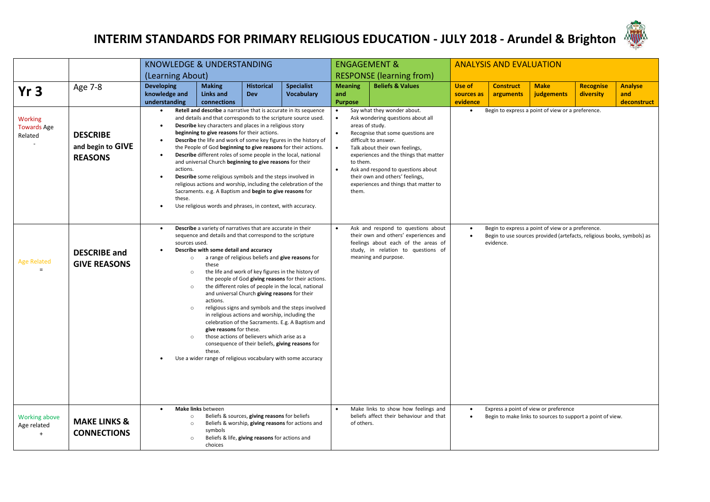

|                                                  |                                                        |                                                                | <b>KNOWLEDGE &amp; UNDERSTANDING</b>                                                                                                                                                                                                                                                                                                                                                                                                                                                                                                                                                                                                                                                                                                                                                                                                                      |                                                                                                 |                                                                  | <b>ENGAGEMENT &amp;</b><br><b>ANALYSIS AND EVALUATION</b>                                |                                                                                                                                                                                                                                                                                                                                                                   |                                                                |                               |                                                                                                     |                                                   |                                      |  |
|--------------------------------------------------|--------------------------------------------------------|----------------------------------------------------------------|-----------------------------------------------------------------------------------------------------------------------------------------------------------------------------------------------------------------------------------------------------------------------------------------------------------------------------------------------------------------------------------------------------------------------------------------------------------------------------------------------------------------------------------------------------------------------------------------------------------------------------------------------------------------------------------------------------------------------------------------------------------------------------------------------------------------------------------------------------------|-------------------------------------------------------------------------------------------------|------------------------------------------------------------------|------------------------------------------------------------------------------------------|-------------------------------------------------------------------------------------------------------------------------------------------------------------------------------------------------------------------------------------------------------------------------------------------------------------------------------------------------------------------|----------------------------------------------------------------|-------------------------------|-----------------------------------------------------------------------------------------------------|---------------------------------------------------|--------------------------------------|--|
|                                                  |                                                        | (Learning About)                                               |                                                                                                                                                                                                                                                                                                                                                                                                                                                                                                                                                                                                                                                                                                                                                                                                                                                           |                                                                                                 |                                                                  |                                                                                          | <b>RESPONSE (learning from)</b>                                                                                                                                                                                                                                                                                                                                   |                                                                |                               |                                                                                                     |                                                   |                                      |  |
| Yr <sub>3</sub>                                  | Age 7-8                                                | <b>Developing</b><br>knowledge and<br>understanding            | <b>Making</b><br><b>Links and</b><br>connections                                                                                                                                                                                                                                                                                                                                                                                                                                                                                                                                                                                                                                                                                                                                                                                                          | <b>Historical</b><br><b>Dev</b>                                                                 | <b>Specialist</b><br><b>Vocabulary</b>                           | <b>Meaning</b><br>and<br><b>Purpose</b>                                                  | <b>Beliefs &amp; Values</b>                                                                                                                                                                                                                                                                                                                                       | Use of<br>sources as<br>evidence                               | <b>Construct</b><br>arguments | <b>Make</b><br>judgements                                                                           | <b>Recognise</b><br>diversity                     | <b>Analyse</b><br>and<br>deconstruct |  |
| <b>Working</b><br><b>Towards Age</b><br>Related  | <b>DESCRIBE</b><br>and begin to GIVE<br><b>REASONS</b> | $\bullet$<br>٠<br>$\bullet$<br>actions.<br>$\bullet$<br>these. | Retell and describe a narrative that is accurate in its sequence<br>and details and that corresponds to the scripture source used.<br>Describe key characters and places in a religious story<br>beginning to give reasons for their actions.<br>the People of God beginning to give reasons for their actions.<br>Describe different roles of some people in the local, national<br>and universal Church beginning to give reasons for their<br><b>Describe</b> some religious symbols and the steps involved in<br>religious actions and worship, including the celebration of the<br>Sacraments. e.g. A Baptism and begin to give reasons for<br>Use religious words and phrases, in context, with accuracy.                                                                                                                                           |                                                                                                 | Describe the life and work of some key figures in the history of | $\bullet$<br>$\bullet$<br>areas of study.<br>$\bullet$<br>to them.<br>$\bullet$<br>them. | Say what they wonder about.<br>Ask wondering questions about all<br>Recognise that some questions are<br>difficult to answer.<br>Talk about their own feelings,<br>experiences and the things that matter<br>Ask and respond to questions about<br>their own and others' feelings,<br>experiences and things that matter to<br>Ask and respond to questions about | Begin to express a point of view or a preference.<br>$\bullet$ |                               |                                                                                                     |                                                   |                                      |  |
| <b>Age Related</b>                               | <b>DESCRIBE</b> and<br><b>GIVE REASONS</b>             | ٠<br>$\circ$<br>$\circ$<br>$\circ$<br>$\circ$<br>$\circ$       | Describe a variety of narratives that are accurate in their<br>sequence and details and that correspond to the scripture<br>sources used.<br>Describe with some detail and accuracy<br>a range of religious beliefs and give reasons for<br>these<br>the life and work of key figures in the history of<br>the people of God giving reasons for their actions.<br>the different roles of people in the local, national<br>and universal Church giving reasons for their<br>actions.<br>religious signs and symbols and the steps involved<br>in religious actions and worship, including the<br>celebration of the Sacraments. E.g. A Baptism and<br>give reasons for these.<br>those actions of believers which arise as a<br>consequence of their beliefs, giving reasons for<br>these.<br>Use a wider range of religious vocabulary with some accuracy |                                                                                                 |                                                                  |                                                                                          | their own and others' experiences and<br>Begin to use sources provided (artefacts, religious books, symbols) as<br>$\bullet$<br>feelings about each of the areas of<br>evidence.<br>study, in relation to questions of<br>meaning and purpose.                                                                                                                    |                                                                |                               |                                                                                                     | Begin to express a point of view or a preference. |                                      |  |
| <b>Working above</b><br>Age related<br>$\ddot{}$ | <b>MAKE LINKS &amp;</b><br><b>CONNECTIONS</b>          | $\circ$<br>$\circ$<br>$\circ$                                  | Make links between<br>symbols<br>choices                                                                                                                                                                                                                                                                                                                                                                                                                                                                                                                                                                                                                                                                                                                                                                                                                  | Beliefs & sources, giving reasons for beliefs<br>Beliefs & life, giving reasons for actions and | Beliefs & worship, giving reasons for actions and                | of others.                                                                               | Make links to show how feelings and<br>beliefs affect their behaviour and that                                                                                                                                                                                                                                                                                    | $\bullet$<br>$\bullet$                                         |                               | Express a point of view or preference<br>Begin to make links to sources to support a point of view. |                                                   |                                      |  |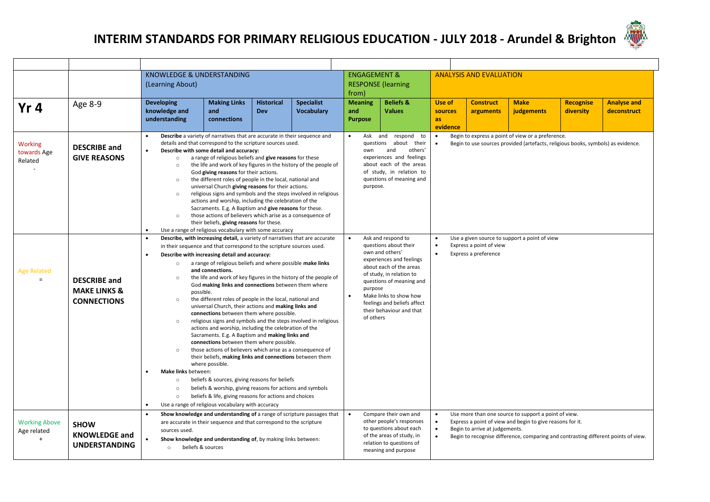

|                                                  |                                                                      | KNOWLEDGE & UNDERSTANDING<br>(Learning About)<br>from)                                                                                                                                                                                                                                                                                                                                                                                                                                 |                                                                                                                                                                                                                                                                                                                                                                                                                                                                                                                                                                                                                                                                                                                                                                                                                                                                                                                      |                                   |                                                                                                                                                                                                                                              |                                                                                                                                                                                                                                                                                                                                                                                                                              | <b>ENGAGEMENT &amp;</b><br><b>RESPONSE</b> (learning                                                                                                         |                                                                                                                                                                                                                                                                     | <b>ANALYSIS AND EVALUATION</b> |                           |                               |                                   |  |
|--------------------------------------------------|----------------------------------------------------------------------|----------------------------------------------------------------------------------------------------------------------------------------------------------------------------------------------------------------------------------------------------------------------------------------------------------------------------------------------------------------------------------------------------------------------------------------------------------------------------------------|----------------------------------------------------------------------------------------------------------------------------------------------------------------------------------------------------------------------------------------------------------------------------------------------------------------------------------------------------------------------------------------------------------------------------------------------------------------------------------------------------------------------------------------------------------------------------------------------------------------------------------------------------------------------------------------------------------------------------------------------------------------------------------------------------------------------------------------------------------------------------------------------------------------------|-----------------------------------|----------------------------------------------------------------------------------------------------------------------------------------------------------------------------------------------------------------------------------------------|------------------------------------------------------------------------------------------------------------------------------------------------------------------------------------------------------------------------------------------------------------------------------------------------------------------------------------------------------------------------------------------------------------------------------|--------------------------------------------------------------------------------------------------------------------------------------------------------------|---------------------------------------------------------------------------------------------------------------------------------------------------------------------------------------------------------------------------------------------------------------------|--------------------------------|---------------------------|-------------------------------|-----------------------------------|--|
| Yr <sub>4</sub>                                  | Age 8-9                                                              | <b>Developing</b><br>knowledge and<br>understanding                                                                                                                                                                                                                                                                                                                                                                                                                                    | <b>Making Links</b><br>and<br>connections                                                                                                                                                                                                                                                                                                                                                                                                                                                                                                                                                                                                                                                                                                                                                                                                                                                                            | <b>Historical</b><br>Dev          | <b>Specialist</b><br><b>Vocabulary</b>                                                                                                                                                                                                       | <b>Meaning</b><br>and<br><b>Purpose</b>                                                                                                                                                                                                                                                                                                                                                                                      | <b>Beliefs &amp;</b><br><b>Values</b>                                                                                                                        | Use of<br>sources<br><b>as</b><br>evidence                                                                                                                                                                                                                          | <b>Construct</b><br>arguments  | <b>Make</b><br>judgements | <b>Recognise</b><br>diversity | <b>Analyse and</b><br>deconstruct |  |
| Working<br>towards Age<br>Related                | <b>DESCRIBE and</b><br><b>GIVE REASONS</b>                           | $\circ$<br>$\circ$<br>$\circ$<br>$\circ$<br>$\circ$<br>$\bullet$                                                                                                                                                                                                                                                                                                                                                                                                                       | Describe a variety of narratives that are accurate in their sequence and<br>details and that correspond to the scripture sources used.<br>Describe with some detail and accuracy:<br>a range of religious beliefs and give reasons for these<br>the life and work of key figures in the history of the people of<br>God giving reasons for their actions.<br>the different roles of people in the local, national and<br>universal Church giving reasons for their actions.<br>religious signs and symbols and the steps involved in religious<br>actions and worship, including the celebration of the<br>Sacraments. E.g. A Baptism and give reasons for these.<br>those actions of believers which arise as a consequence of<br>their beliefs, giving reasons for these.<br>Use a range of religious vocabulary with some accuracy<br>Describe, with increasing detail, a variety of narratives that are accurate |                                   |                                                                                                                                                                                                                                              | Begin to express a point of view or a preference.<br>Ask and respond to<br>questions about their<br>Begin to use sources provided (artefacts, religious books, symbols) as evidence.<br>and<br>others'<br>own<br>experiences and feelings<br>about each of the areas<br>of study, in relation to<br>questions of meaning and<br>purpose.<br>Ask and respond to<br>Use a given source to support a point of view<br>$\bullet$ |                                                                                                                                                              |                                                                                                                                                                                                                                                                     |                                |                           |                               |                                   |  |
| <b>Age Related</b><br>$\equiv$                   | <b>DESCRIBE and</b><br><b>MAKE LINKS &amp;</b><br><b>CONNECTIONS</b> | in their sequence and that correspond to the scripture sources used.<br>Describe with increasing detail and accuracy:<br>$\circ$<br>and connections.<br>$\circ$<br>possible.<br>$\circ$<br>connections between them where possible.<br>$\circ$<br>connections between them where possible.<br>$\circ$<br>where possible.<br>Make links between:<br>beliefs & sources, giving reasons for beliefs<br>$\circ$<br>$\circ$<br>$\circ$<br>Use a range of religious vocabulary with accuracy | a range of religious beliefs and where possible make links<br>the life and work of key figures in the history of the people of<br>God making links and connections between them where<br>the different roles of people in the local, national and<br>universal Church, their actions and making links and<br>religious signs and symbols and the steps involved in religious<br>actions and worship, including the celebration of the<br>Sacraments. E.g. A Baptism and making links and<br>those actions of believers which arise as a consequence of<br>their beliefs, making links and connections between them<br>beliefs & worship, giving reasons for actions and symbols<br>beliefs & life, giving reasons for actions and choices                                                                                                                                                                            | purpose<br>$\bullet$<br>of others | questions about their<br>own and others'<br>experiences and feelings<br>about each of the areas<br>of study, in relation to<br>questions of meaning and<br>Make links to show how<br>feelings and beliefs affect<br>their behaviour and that | Express a point of view<br>Express a preference                                                                                                                                                                                                                                                                                                                                                                              |                                                                                                                                                              |                                                                                                                                                                                                                                                                     |                                |                           |                               |                                   |  |
| <b>Working Above</b><br>Age related<br>$\ddot{}$ | <b>SHOW</b><br><b>KNOWLEDGE and</b><br><b>UNDERSTANDING</b>          | sources used.<br>beliefs & sources<br>$\circ$                                                                                                                                                                                                                                                                                                                                                                                                                                          | Show knowledge and understanding of a range of scripture passages that<br>are accurate in their sequence and that correspond to the scripture<br>Show knowledge and understanding of, by making links between:                                                                                                                                                                                                                                                                                                                                                                                                                                                                                                                                                                                                                                                                                                       |                                   |                                                                                                                                                                                                                                              |                                                                                                                                                                                                                                                                                                                                                                                                                              | Compare their own and<br>other people's responses<br>to questions about each<br>of the areas of study, in<br>relation to questions of<br>meaning and purpose | Use more than one source to support a point of view.<br>Express a point of view and begin to give reasons for it.<br>$\bullet$<br>Begin to arrive at judgements.<br>Begin to recognise difference, comparing and contrasting different points of view.<br>$\bullet$ |                                |                           |                               |                                   |  |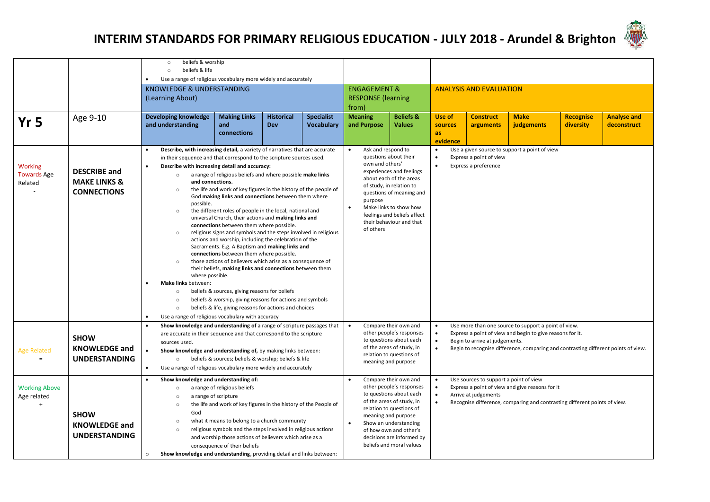

|                      |                                                                                                                             | beliefs & worship<br>$\circ$                                                                                                |                                                                                             |                   |                                                                    |                                                     |                                                       |                                                                                                                                         |                                        |                                                                                    |                  |                    |  |  |
|----------------------|-----------------------------------------------------------------------------------------------------------------------------|-----------------------------------------------------------------------------------------------------------------------------|---------------------------------------------------------------------------------------------|-------------------|--------------------------------------------------------------------|-----------------------------------------------------|-------------------------------------------------------|-----------------------------------------------------------------------------------------------------------------------------------------|----------------------------------------|------------------------------------------------------------------------------------|------------------|--------------------|--|--|
|                      |                                                                                                                             | beliefs & life<br>$\circ$<br>Use a range of religious vocabulary more widely and accurately                                 |                                                                                             |                   |                                                                    |                                                     |                                                       |                                                                                                                                         |                                        |                                                                                    |                  |                    |  |  |
|                      |                                                                                                                             | KNOWLEDGE & UNDERSTANDING                                                                                                   |                                                                                             |                   |                                                                    | <b>ENGAGEMENT &amp;</b>                             |                                                       |                                                                                                                                         | <b>ANALYSIS AND EVALUATION</b>         |                                                                                    |                  |                    |  |  |
|                      |                                                                                                                             | (Learning About)                                                                                                            |                                                                                             |                   |                                                                    | <b>RESPONSE</b> (learning                           |                                                       |                                                                                                                                         |                                        |                                                                                    |                  |                    |  |  |
|                      |                                                                                                                             |                                                                                                                             |                                                                                             |                   |                                                                    | from)                                               |                                                       |                                                                                                                                         |                                        |                                                                                    |                  |                    |  |  |
| Yr <sub>5</sub>      | Age 9-10                                                                                                                    | Developing knowledge                                                                                                        | <b>Making Links</b>                                                                         | <b>Historical</b> | <b>Specialist</b>                                                  | <b>Meaning</b>                                      | <b>Beliefs &amp;</b>                                  | Use of                                                                                                                                  | <b>Construct</b>                       | <b>Make</b>                                                                        | <b>Recognise</b> | <b>Analyse and</b> |  |  |
|                      |                                                                                                                             | and understanding                                                                                                           | and                                                                                         | <b>Dev</b>        | <b>Vocabulary</b>                                                  | and Purpose                                         | <b>Values</b>                                         | sources                                                                                                                                 | arguments                              | judgements                                                                         | diversity        | deconstruct        |  |  |
|                      |                                                                                                                             |                                                                                                                             | connections                                                                                 |                   |                                                                    |                                                     |                                                       | as<br>evidence                                                                                                                          |                                        |                                                                                    |                  |                    |  |  |
|                      |                                                                                                                             | Describe, with increasing detail, a variety of narratives that are accurate                                                 |                                                                                             |                   |                                                                    | Ask and respond to                                  | questions about their                                 | Use a given source to support a point of view<br>$\bullet$<br>Express a point of view<br>$\bullet$<br>Express a preference<br>$\bullet$ |                                        |                                                                                    |                  |                    |  |  |
| <b>Working</b>       |                                                                                                                             | in their sequence and that correspond to the scripture sources used.<br>Describe with increasing detail and accuracy:       |                                                                                             |                   |                                                                    | own and others'                                     |                                                       |                                                                                                                                         |                                        |                                                                                    |                  |                    |  |  |
| <b>Towards Age</b>   | <b>DESCRIBE and</b>                                                                                                         | $\circ$                                                                                                                     | a range of religious beliefs and where possible make links                                  |                   |                                                                    |                                                     | experiences and feelings                              |                                                                                                                                         |                                        |                                                                                    |                  |                    |  |  |
| Related              | <b>MAKE LINKS &amp;</b>                                                                                                     | and connections.<br>the life and work of key figures in the history of the people of<br>$\circ$                             |                                                                                             |                   |                                                                    | about each of the areas<br>of study, in relation to |                                                       |                                                                                                                                         |                                        |                                                                                    |                  |                    |  |  |
| $\sim$               | <b>CONNECTIONS</b>                                                                                                          |                                                                                                                             |                                                                                             |                   |                                                                    |                                                     | questions of meaning and                              |                                                                                                                                         |                                        |                                                                                    |                  |                    |  |  |
|                      | God making links and connections between them where<br>possible.                                                            |                                                                                                                             |                                                                                             | purpose           |                                                                    |                                                     |                                                       |                                                                                                                                         |                                        |                                                                                    |                  |                    |  |  |
|                      | the different roles of people in the local, national and<br>$\circ$<br>universal Church, their actions and making links and |                                                                                                                             |                                                                                             |                   | Make links to show how<br>$\bullet$<br>feelings and beliefs affect |                                                     |                                                       |                                                                                                                                         |                                        |                                                                                    |                  |                    |  |  |
|                      |                                                                                                                             |                                                                                                                             | connections between them where possible.                                                    |                   |                                                                    | their behaviour and that                            |                                                       |                                                                                                                                         |                                        |                                                                                    |                  |                    |  |  |
|                      |                                                                                                                             | $\circ$                                                                                                                     | religious signs and symbols and the steps involved in religious                             |                   |                                                                    | of others                                           |                                                       |                                                                                                                                         |                                        |                                                                                    |                  |                    |  |  |
|                      |                                                                                                                             |                                                                                                                             | actions and worship, including the celebration of the                                       |                   |                                                                    |                                                     |                                                       |                                                                                                                                         |                                        |                                                                                    |                  |                    |  |  |
|                      |                                                                                                                             |                                                                                                                             | Sacraments. E.g. A Baptism and making links and<br>connections between them where possible. |                   |                                                                    |                                                     |                                                       |                                                                                                                                         |                                        |                                                                                    |                  |                    |  |  |
|                      |                                                                                                                             | $\circ$                                                                                                                     | those actions of believers which arise as a consequence of                                  |                   |                                                                    |                                                     |                                                       |                                                                                                                                         |                                        |                                                                                    |                  |                    |  |  |
|                      |                                                                                                                             |                                                                                                                             | their beliefs, making links and connections between them                                    |                   |                                                                    |                                                     |                                                       |                                                                                                                                         |                                        |                                                                                    |                  |                    |  |  |
|                      |                                                                                                                             | where possible.<br>Make links between:                                                                                      |                                                                                             |                   |                                                                    |                                                     |                                                       |                                                                                                                                         |                                        |                                                                                    |                  |                    |  |  |
|                      |                                                                                                                             | $\circ$                                                                                                                     | beliefs & sources, giving reasons for beliefs                                               |                   |                                                                    |                                                     |                                                       |                                                                                                                                         |                                        |                                                                                    |                  |                    |  |  |
|                      |                                                                                                                             | $\circ$                                                                                                                     | beliefs & worship, giving reasons for actions and symbols                                   |                   |                                                                    |                                                     |                                                       |                                                                                                                                         |                                        |                                                                                    |                  |                    |  |  |
|                      |                                                                                                                             | $\circ$                                                                                                                     | beliefs & life, giving reasons for actions and choices                                      |                   |                                                                    |                                                     |                                                       |                                                                                                                                         |                                        |                                                                                    |                  |                    |  |  |
|                      |                                                                                                                             | Use a range of religious vocabulary with accuracy<br>Show knowledge and understanding of a range of scripture passages that |                                                                                             |                   |                                                                    |                                                     |                                                       | Use more than one source to support a point of view.                                                                                    |                                        |                                                                                    |                  |                    |  |  |
|                      |                                                                                                                             | are accurate in their sequence and that correspond to the scripture                                                         |                                                                                             |                   |                                                                    | $\bullet$                                           | Compare their own and<br>other people's responses     | $\bullet$<br>$\bullet$                                                                                                                  |                                        | Express a point of view and begin to give reasons for it.                          |                  |                    |  |  |
|                      | <b>SHOW</b>                                                                                                                 | sources used.                                                                                                               |                                                                                             |                   |                                                                    |                                                     | to questions about each                               | $\bullet$                                                                                                                               | Begin to arrive at judgements.         |                                                                                    |                  |                    |  |  |
| <b>Age Related</b>   | <b>KNOWLEDGE and</b>                                                                                                        | Show knowledge and understanding of, by making links between:                                                               |                                                                                             |                   |                                                                    |                                                     | of the areas of study, in<br>relation to questions of |                                                                                                                                         |                                        | Begin to recognise difference, comparing and contrasting different points of view. |                  |                    |  |  |
| $\equiv$             | <b>UNDERSTANDING</b>                                                                                                        | $\circ$                                                                                                                     | beliefs & sources; beliefs & worship; beliefs & life                                        |                   |                                                                    |                                                     | meaning and purpose                                   |                                                                                                                                         |                                        |                                                                                    |                  |                    |  |  |
|                      |                                                                                                                             | Use a range of religious vocabulary more widely and accurately<br>$\bullet$                                                 |                                                                                             |                   |                                                                    |                                                     |                                                       |                                                                                                                                         |                                        |                                                                                    |                  |                    |  |  |
|                      |                                                                                                                             | Show knowledge and understanding of:                                                                                        |                                                                                             |                   |                                                                    |                                                     | Compare their own and                                 | $\bullet$                                                                                                                               | Use sources to support a point of view |                                                                                    |                  |                    |  |  |
| <b>Working Above</b> |                                                                                                                             | $\circ$                                                                                                                     | a range of religious beliefs                                                                |                   |                                                                    |                                                     | other people's responses<br>to questions about each   | $\bullet$<br>$\bullet$                                                                                                                  | Arrive at judgements                   | Express a point of view and give reasons for it                                    |                  |                    |  |  |
| Age related<br>$+$   |                                                                                                                             | a range of scripture<br>$\circ$<br>$\circ$                                                                                  | the life and work of key figures in the history of the People of                            |                   |                                                                    |                                                     | of the areas of study, in                             | $\bullet$                                                                                                                               |                                        | Recognise difference, comparing and contrasting different points of view.          |                  |                    |  |  |
|                      | <b>SHOW</b>                                                                                                                 | God                                                                                                                         |                                                                                             |                   |                                                                    |                                                     | relation to questions of<br>meaning and purpose       |                                                                                                                                         |                                        |                                                                                    |                  |                    |  |  |
|                      | <b>KNOWLEDGE and</b>                                                                                                        | $\circ$                                                                                                                     | what it means to belong to a church community                                               |                   |                                                                    | $\bullet$                                           | Show an understanding                                 |                                                                                                                                         |                                        |                                                                                    |                  |                    |  |  |
|                      | <b>UNDERSTANDING</b>                                                                                                        | $\circ$                                                                                                                     | religious symbols and the steps involved in religious actions                               |                   |                                                                    |                                                     | of how own and other's                                |                                                                                                                                         |                                        |                                                                                    |                  |                    |  |  |
|                      |                                                                                                                             |                                                                                                                             | and worship those actions of believers which arise as a                                     |                   |                                                                    |                                                     | decisions are informed by<br>beliefs and moral values |                                                                                                                                         |                                        |                                                                                    |                  |                    |  |  |
|                      |                                                                                                                             | Show knowledge and understanding, providing detail and links between:<br>$\circ$                                            | consequence of their beliefs                                                                |                   |                                                                    |                                                     |                                                       |                                                                                                                                         |                                        |                                                                                    |                  |                    |  |  |
|                      |                                                                                                                             |                                                                                                                             |                                                                                             |                   |                                                                    |                                                     |                                                       |                                                                                                                                         |                                        |                                                                                    |                  |                    |  |  |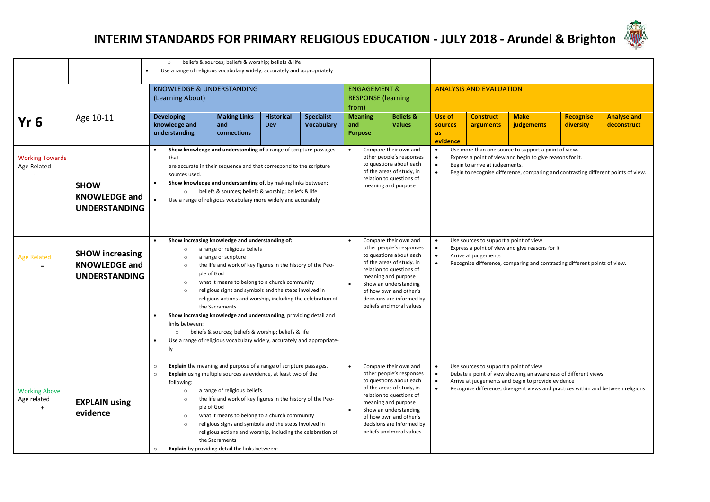|                                                  |                                                                        | beliefs & sources; beliefs & worship; beliefs & life<br>$\circ$<br>Use a range of religious vocabulary widely, accurately and appropriately<br>$\bullet$                                                                                                                                                                                                                                                                                                                                                                                                                                                                                                                                       |                                                                                                                                                                                                                                                                                                                                                                                                                                                                                                                                             |                                 |                                        |                                                                                                                                                                                                                                                                                                                                                                                                                                                                                                                                                                       |                                                      |                                     |                               |                           |                               |                                   |  |
|--------------------------------------------------|------------------------------------------------------------------------|------------------------------------------------------------------------------------------------------------------------------------------------------------------------------------------------------------------------------------------------------------------------------------------------------------------------------------------------------------------------------------------------------------------------------------------------------------------------------------------------------------------------------------------------------------------------------------------------------------------------------------------------------------------------------------------------|---------------------------------------------------------------------------------------------------------------------------------------------------------------------------------------------------------------------------------------------------------------------------------------------------------------------------------------------------------------------------------------------------------------------------------------------------------------------------------------------------------------------------------------------|---------------------------------|----------------------------------------|-----------------------------------------------------------------------------------------------------------------------------------------------------------------------------------------------------------------------------------------------------------------------------------------------------------------------------------------------------------------------------------------------------------------------------------------------------------------------------------------------------------------------------------------------------------------------|------------------------------------------------------|-------------------------------------|-------------------------------|---------------------------|-------------------------------|-----------------------------------|--|
|                                                  |                                                                        | (Learning About)                                                                                                                                                                                                                                                                                                                                                                                                                                                                                                                                                                                                                                                                               | KNOWLEDGE & UNDERSTANDING<br>from)                                                                                                                                                                                                                                                                                                                                                                                                                                                                                                          |                                 |                                        |                                                                                                                                                                                                                                                                                                                                                                                                                                                                                                                                                                       | <b>ENGAGEMENT &amp;</b><br><b>RESPONSE (learning</b> | <b>ANALYSIS AND EVALUATION</b>      |                               |                           |                               |                                   |  |
| Yr <sub>6</sub>                                  | Age 10-11                                                              | <b>Developing</b><br>knowledge and<br>understanding                                                                                                                                                                                                                                                                                                                                                                                                                                                                                                                                                                                                                                            | <b>Making Links</b><br>and<br>connections                                                                                                                                                                                                                                                                                                                                                                                                                                                                                                   | <b>Historical</b><br><b>Dev</b> | <b>Specialist</b><br><b>Vocabulary</b> | <b>Meaning</b><br>and<br><b>Purpose</b>                                                                                                                                                                                                                                                                                                                                                                                                                                                                                                                               | <b>Beliefs &amp;</b><br><b>Values</b>                | Use of<br>sources<br>as<br>evidence | <b>Construct</b><br>arguments | <b>Make</b><br>judgements | <b>Recognise</b><br>diversity | <b>Analyse and</b><br>deconstruct |  |
| <b>Working Towards</b><br>Age Related            | <b>SHOW</b><br><b>KNOWLEDGE and</b><br><b>UNDERSTANDING</b>            | Show knowledge and understanding of a range of scripture passages<br>$\bullet$<br>that<br>are accurate in their sequence and that correspond to the scripture<br>sources used.<br>Show knowledge and understanding of, by making links between:<br>beliefs & sources; beliefs & worship; beliefs & life<br>$\circ$<br>Use a range of religious vocabulary more widely and accurately<br>$\bullet$                                                                                                                                                                                                                                                                                              | Use more than one source to support a point of view.<br>Compare their own and<br>$\bullet$<br>$\bullet$<br>other people's responses<br>Express a point of view and begin to give reasons for it.<br>$\bullet$<br>to questions about each<br>$\bullet$<br>Begin to arrive at judgements.<br>of the areas of study, in<br>$\bullet$<br>Begin to recognise difference, comparing and contrasting different points of view.<br>relation to questions of<br>meaning and purpose                                                                  |                                 |                                        |                                                                                                                                                                                                                                                                                                                                                                                                                                                                                                                                                                       |                                                      |                                     |                               |                           |                               |                                   |  |
| <b>Age Related</b><br>$=$                        | <b>SHOW increasing</b><br><b>KNOWLEDGE and</b><br><b>UNDERSTANDING</b> | Show increasing knowledge and understanding of:<br>a range of religious beliefs<br>$\circ$<br>a range of scripture<br>$\circ$<br>the life and work of key figures in the history of the Peo-<br>$\circ$<br>ple of God<br>what it means to belong to a church community<br>$\circ$<br>religious signs and symbols and the steps involved in<br>$\circ$<br>religious actions and worship, including the celebration of<br>the Sacraments<br>Show increasing knowledge and understanding, providing detail and<br>links between:<br>beliefs & sources; beliefs & worship; beliefs & life<br>$\circ$<br>Use a range of religious vocabulary widely, accurately and appropriate-<br>$\bullet$<br>ly | Compare their own and<br>Use sources to support a point of view<br>$\bullet$<br>$\bullet$<br>other people's responses<br>Express a point of view and give reasons for it<br>to questions about each<br>$\bullet$<br>Arrive at judgements<br>of the areas of study, in<br>Recognise difference, comparing and contrasting different points of view.<br>$\bullet$<br>relation to questions of<br>meaning and purpose<br>$\bullet$<br>Show an understanding<br>of how own and other's<br>decisions are informed by<br>beliefs and moral values |                                 |                                        |                                                                                                                                                                                                                                                                                                                                                                                                                                                                                                                                                                       |                                                      |                                     |                               |                           |                               |                                   |  |
| <b>Working Above</b><br>Age related<br>$\ddot{}$ | <b>EXPLAIN using</b><br>evidence                                       | $\circ$<br>$\circ$<br>following:<br>$\circ$<br>$\circ$<br>ple of God<br>$\circ$<br>$\circ$<br>$\circ$                                                                                                                                                                                                                                                                                                                                                                                                                                                                                                                                                                                          | Explain the meaning and purpose of a range of scripture passages.<br><b>Explain</b> using multiple sources as evidence, at least two of the<br>a range of religious beliefs<br>the life and work of key figures in the history of the Peo-<br>what it means to belong to a church community<br>religious signs and symbols and the steps involved in<br>religious actions and worship, including the celebration of<br>the Sacraments<br>Explain by providing detail the links between:                                                     |                                 |                                        | Compare their own and<br>Use sources to support a point of view<br>other people's responses<br>Debate a point of view showing an awareness of different views<br>$\bullet$<br>to questions about each<br>Arrive at judgements and begin to provide evidence<br>$\bullet$<br>of the areas of study, in<br>Recognise difference; divergent views and practices within and between religions<br>relation to questions of<br>meaning and purpose<br>Show an understanding<br>$\bullet$<br>of how own and other's<br>decisions are informed by<br>beliefs and moral values |                                                      |                                     |                               |                           |                               |                                   |  |